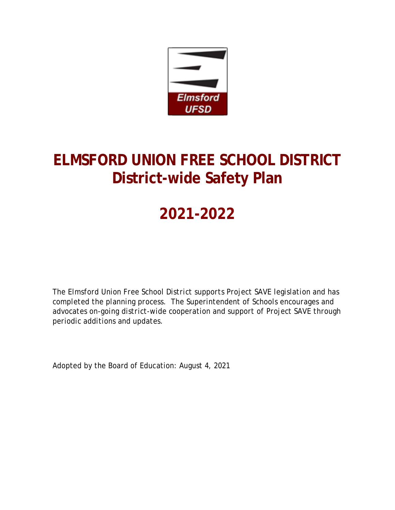

# **ELMSFORD UNION FREE SCHOOL DISTRICT District-wide Safety Plan**

# **2021-2022**

*The Elmsford Union Free School District supports Project SAVE legislation and has completed the planning process. The Superintendent of Schools encourages and advocates on-going district-wide cooperation and support of Project SAVE through periodic additions and updates.*

Adopted by the Board of Education: August 4, 2021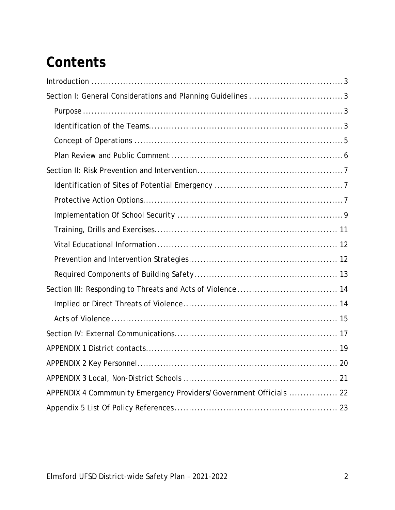# **Contents**

| Section I: General Considerations and Planning Guidelines 3        |
|--------------------------------------------------------------------|
|                                                                    |
|                                                                    |
|                                                                    |
|                                                                    |
|                                                                    |
|                                                                    |
|                                                                    |
|                                                                    |
|                                                                    |
|                                                                    |
|                                                                    |
|                                                                    |
|                                                                    |
|                                                                    |
|                                                                    |
|                                                                    |
|                                                                    |
|                                                                    |
|                                                                    |
| APPENDIX 4 Commmunity Emergency Providers/Government Officials  22 |
|                                                                    |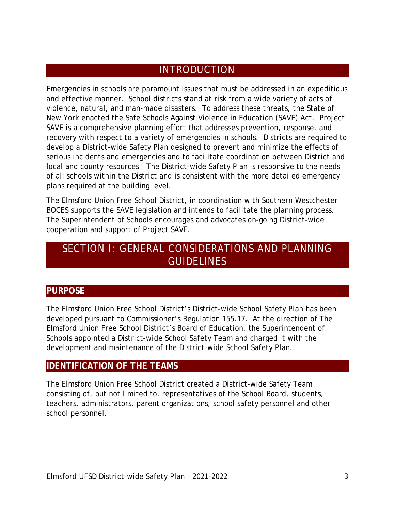### **INTRODUCTION**

<span id="page-2-0"></span>Emergencies in schools are paramount issues that must be addressed in an expeditious and effective manner. School districts stand at risk from a wide variety of acts of violence, natural, and man-made disasters. To address these threats, the State of New York enacted the Safe Schools Against Violence in Education (SAVE) Act. Project SAVE is a comprehensive planning effort that addresses prevention, response, and recovery with respect to a variety of emergencies in schools. Districts are required to develop a District-wide Safety Plan designed to prevent and minimize the effects of serious incidents and emergencies and to facilitate coordination between District and local and county resources. The District-wide Safety Plan is responsive to the needs of all schools within the District and is consistent with the more detailed emergency plans required at the building level.

The Elmsford Union Free School District, in coordination with Southern Westchester BOCES supports the SAVE legislation and intends to facilitate the planning process. The Superintendent of Schools encourages and advocates on-going District-wide cooperation and support of Project SAVE.

## <span id="page-2-1"></span>SECTION I: GENERAL CONSIDERATIONS AND PLANNING **GUIDELINES**

#### <span id="page-2-2"></span>**PURPOSE**

The Elmsford Union Free School District's District-wide School Safety Plan has been developed pursuant to Commissioner's Regulation 155.17. At the direction of The Elmsford Union Free School District's Board of Education, the Superintendent of Schools appointed a District-wide School Safety Team and charged it with the development and maintenance of the District-wide School Safety Plan.

#### <span id="page-2-3"></span>**IDENTIFICATION OF THE TEAMS**

The Elmsford Union Free School District created a District-wide Safety Team consisting of, but not limited to, representatives of the School Board, students, teachers, administrators, parent organizations, school safety personnel and other school personnel.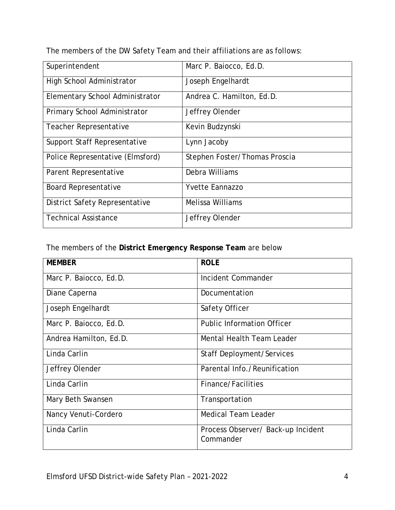The members of the DW Safety Team and their affiliations are as follows:

| Superintendent                   | Marc P. Baiocco, Ed.D.        |
|----------------------------------|-------------------------------|
| High School Administrator        | Joseph Engelhardt             |
| Elementary School Administrator  | Andrea C. Hamilton, Ed.D.     |
| Primary School Administrator     | Jeffrey Olender               |
| Teacher Representative           | Kevin Budzynski               |
| Support Staff Representative     | Lynn Jacoby                   |
| Police Representative (Elmsford) | Stephen Foster/Thomas Proscia |
| Parent Representative            | Debra Williams                |
| <b>Board Representative</b>      | <b>Yvette Eannazzo</b>        |
| District Safety Representative   | <b>Melissa Williams</b>       |
| <b>Technical Assistance</b>      | Jeffrey Olender               |

The members of the **District Emergency Response Team** are below

| <b>MEMBER</b>          | <b>ROLE</b>                                     |
|------------------------|-------------------------------------------------|
| Marc P. Baiocco, Ed.D. | Incident Commander                              |
| Diane Caperna          | Documentation                                   |
| Joseph Engelhardt      | Safety Officer                                  |
| Marc P. Baiocco, Ed.D. | <b>Public Information Officer</b>               |
| Andrea Hamilton, Ed.D. | Mental Health Team Leader                       |
| Linda Carlin           | <b>Staff Deployment/Services</b>                |
| Jeffrey Olender        | Parental Info./Reunification                    |
| Linda Carlin           | Finance/Facilities                              |
| Mary Beth Swansen      | Transportation                                  |
| Nancy Venuti-Cordero   | <b>Medical Team Leader</b>                      |
| Linda Carlin           | Process Observer/ Back-up Incident<br>Commander |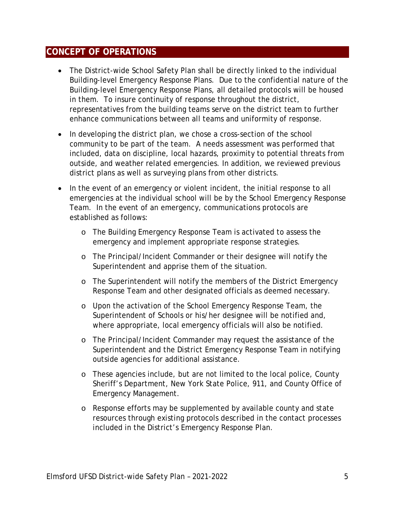#### <span id="page-4-0"></span>**CONCEPT OF OPERATIONS**

- The District-wide School Safety Plan shall be directly linked to the individual Building-level Emergency Response Plans. Due to the confidential nature of the Building-level Emergency Response Plans, all detailed protocols will be housed in them. To insure continuity of response throughout the district, representatives from the building teams serve on the district team to further enhance communications between all teams and uniformity of response.
- In developing the district plan, we chose a cross-section of the school community to be part of the team. A needs assessment was performed that included, data on discipline, local hazards, proximity to potential threats from outside, and weather related emergencies. In addition, we reviewed previous district plans as well as surveying plans from other districts.
- In the event of an emergency or violent incident, the initial response to all emergencies at the individual school will be by the School Emergency Response Team. In the event of an emergency, communications protocols are established as follows:
	- o The Building Emergency Response Team is activated to assess the emergency and implement appropriate response strategies.
	- o The Principal/Incident Commander or their designee will notify the Superintendent and apprise them of the situation.
	- o The Superintendent will notify the members of the District Emergency Response Team and other designated officials as deemed necessary.
	- o Upon the activation of the School Emergency Response Team, the Superintendent of Schools or his/her designee will be notified and, where appropriate, local emergency officials will also be notified.
	- o The Principal/Incident Commander may request the assistance of the Superintendent and the District Emergency Response Team in notifying outside agencies for additional assistance.
	- o These agencies include, but are not limited to the local police, County Sheriff's Department, New York State Police, 911, and County Office of Emergency Management.
	- o Response efforts may be supplemented by available county and state resources through existing protocols described in the contact processes included in the District's Emergency Response Plan.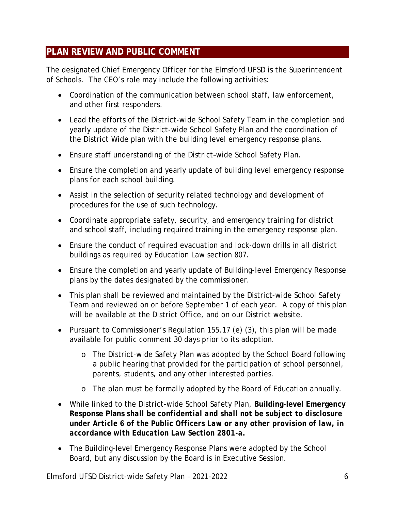#### <span id="page-5-0"></span>**PLAN REVIEW AND PUBLIC COMMENT**

The designated Chief Emergency Officer for the Elmsford UFSD is the Superintendent of Schools. The CEO's role may include the following activities:

- Coordination of the communication between school staff, law enforcement, and other first responders.
- Lead the efforts of the District-wide School Safety Team in the completion and yearly update of the District-wide School Safety Plan and the coordination of the District Wide plan with the building level emergency response plans.
- Ensure staff understanding of the District–wide School Safety Plan.
- Ensure the completion and yearly update of building level emergency response plans for each school building.
- Assist in the selection of security related technology and development of procedures for the use of such technology.
- Coordinate appropriate safety, security, and emergency training for district and school staff, including required training in the emergency response plan.
- Ensure the conduct of required evacuation and lock-down drills in all district buildings as required by Education Law section 807.
- Ensure the completion and yearly update of Building-level Emergency Response plans by the dates designated by the commissioner.
- This plan shall be reviewed and maintained by the District-wide School Safety Team and reviewed on or before September 1 of each year. A copy of this plan will be available at the District Office, and on our District website.
- Pursuant to Commissioner's Regulation 155.17 (e) (3), this plan will be made available for public comment 30 days prior to its adoption.
	- o The District-wide Safety Plan was adopted by the School Board following a public hearing that provided for the participation of school personnel, parents, students, and any other interested parties.
	- o The plan must be formally adopted by the Board of Education annually.
- While linked to the District-wide School Safety Plan, **Building-level Emergency Response Plans** *shall be confidential and shall not be subject to disclosure under Article 6 of the Public Officers Law or any other provision of law, in accordance with Education Law Section 2801-a.*
- The Building-level Emergency Response Plans were adopted by the School Board, but any discussion by the Board is in Executive Session.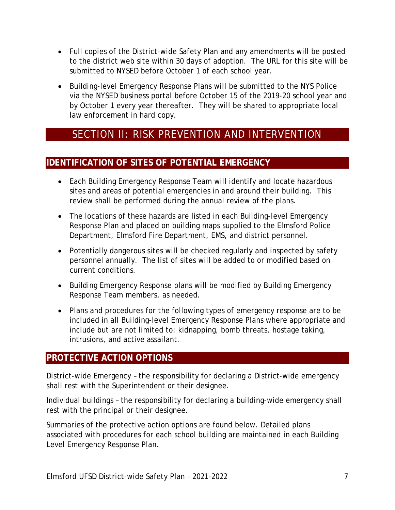- Full copies of the District-wide Safety Plan and any amendments will be posted to the district web site within 30 days of adoption. The URL for this site will be submitted to NYSED before October 1 of each school year.
- Building-level Emergency Response Plans will be submitted to the NYS Police via the NYSED business portal before October 15 of the 2019-20 school year and by October 1 every year thereafter. They will be shared to appropriate local law enforcement in hard copy.

## <span id="page-6-0"></span>SECTION II: RISK PREVENTION AND INTERVENTION

#### <span id="page-6-1"></span>**IDENTIFICATION OF SITES OF POTENTIAL EMERGENCY**

- Each Building Emergency Response Team will identify and locate hazardous sites and areas of potential emergencies in and around their building. This review shall be performed during the annual review of the plans.
- The locations of these hazards are listed in each Building-level Emergency Response Plan and placed on building maps supplied to the Elmsford Police Department, Elmsford Fire Department, EMS, and district personnel.
- Potentially dangerous sites will be checked regularly and inspected by safety personnel annually. The list of sites will be added to or modified based on current conditions.
- Building Emergency Response plans will be modified by Building Emergency Response Team members, as needed.
- Plans and procedures for the following types of emergency response are to be included in all Building-level Emergency Response Plans where appropriate and include but are not limited to: kidnapping, bomb threats, hostage taking, intrusions, and active assailant.

#### <span id="page-6-2"></span>**PROTECTIVE ACTION OPTIONS**

District-wide Emergency – the responsibility for declaring a District-wide emergency shall rest with the Superintendent or their designee.

Individual buildings – the responsibility for declaring a building-wide emergency shall rest with the principal or their designee.

Summaries of the protective action options are found below. Detailed plans associated with procedures for each school building are maintained in each Building Level Emergency Response Plan.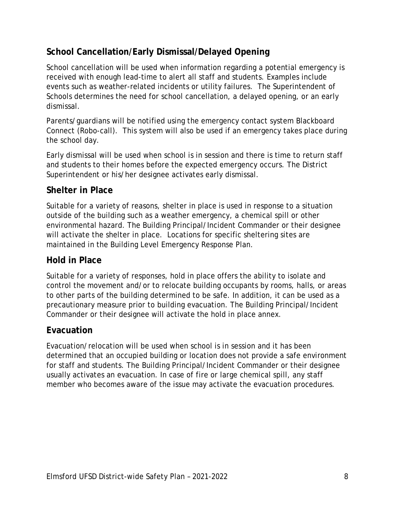### **School Cancellation/Early Dismissal/Delayed Opening**

School cancellation will be used when information regarding a potential emergency is received with enough lead-time to alert all staff and students. Examples include events such as weather-related incidents or utility failures. The Superintendent of Schools determines the need for school cancellation, a delayed opening, or an early dismissal.

Parents/guardians will be notified using the emergency contact system Blackboard Connect (Robo-call). This system will also be used if an emergency takes place during the school day.

Early dismissal will be used when school is in session and there is time to return staff and students to their homes before the expected emergency occurs. The District Superintendent or his/her designee activates early dismissal.

#### **Shelter in Place**

Suitable for a variety of reasons, shelter in place is used in response to a situation outside of the building such as a weather emergency, a chemical spill or other environmental hazard. The Building Principal/Incident Commander or their designee will activate the shelter in place. Locations for specific sheltering sites are maintained in the Building Level Emergency Response Plan.

#### **Hold in Place**

Suitable for a variety of responses, hold in place offers the ability to isolate and control the movement and/or to relocate building occupants by rooms, halls, or areas to other parts of the building determined to be safe. In addition, it can be used as a precautionary measure prior to building evacuation. The Building Principal/Incident Commander or their designee will activate the hold in place annex.

#### **Evacuation**

Evacuation/relocation will be used when school is in session and it has been determined that an occupied building or location does not provide a safe environment for staff and students. The Building Principal/Incident Commander or their designee usually activates an evacuation. In case of fire or large chemical spill, any staff member who becomes aware of the issue may activate the evacuation procedures.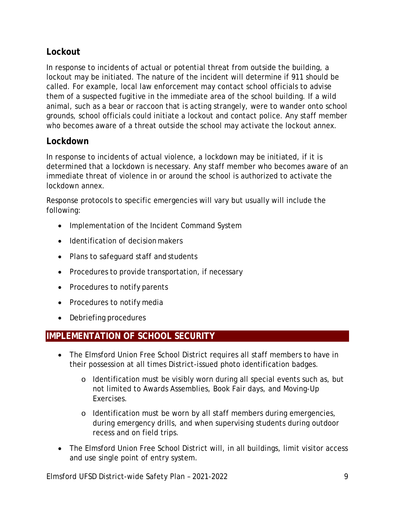#### **Lockout**

In response to incidents of actual or potential threat from outside the building, a lockout may be initiated. The nature of the incident will determine if 911 should be called. For example, local law enforcement may contact school officials to advise them of a suspected fugitive in the immediate area of the school building. If a wild animal, such as a bear or raccoon that is acting strangely, were to wander onto school grounds, school officials could initiate a lockout and contact police. Any staff member who becomes aware of a threat outside the school may activate the lockout annex.

#### **Lockdown**

In response to incidents of actual violence, a lockdown may be initiated, if it is determined that a lockdown is necessary. Any staff member who becomes aware of an immediate threat of violence in or around the school is authorized to activate the lockdown annex.

Response protocols to specific emergencies will vary but usually will include the following:

- Implementation of the Incident Command System
- Identification of decision makers
- Plans to safeguard staff and students
- Procedures to provide transportation, if necessary
- Procedures to notify parents
- Procedures to notify media
- Debriefing procedures

#### <span id="page-8-0"></span>**IMPLEMENTATION OF SCHOOL SECURITY**

- The Elmsford Union Free School District requires all staff members to have in their possession at all times District-issued photo identification badges.
	- o Identification must be visibly worn during all special events such as, but not limited to Awards Assemblies, Book Fair days, and Moving-Up Exercises.
	- o Identification must be worn by all staff members during emergencies, during emergency drills, and when supervising students during outdoor recess and on field trips.
- The Elmsford Union Free School District will, in all buildings, limit visitor access and use single point of entry system.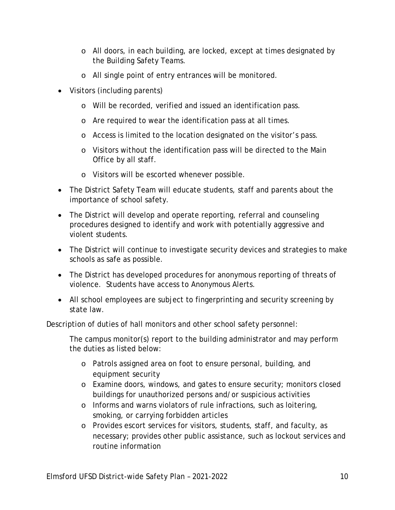- o All doors, in each building, are locked, except at times designated by the Building Safety Teams.
- o All single point of entry entrances will be monitored.
- Visitors (including parents)
	- o Will be recorded, verified and issued an identification pass.
	- o Are required to wear the identification pass at all times.
	- o Access is limited to the location designated on the visitor's pass.
	- o Visitors without the identification pass will be directed to the Main Office by all staff.
	- o Visitors will be escorted whenever possible.
- The District Safety Team will educate students, staff and parents about the importance of school safety.
- The District will develop and operate reporting, referral and counseling procedures designed to identify and work with potentially aggressive and violent students.
- The District will continue to investigate security devices and strategies to make schools as safe as possible.
- The District has developed procedures for anonymous reporting of threats of violence. Students have access to Anonymous Alerts.
- All school employees are subject to fingerprinting and security screening by state law.

Description of duties of hall monitors and other school safety personnel:

The campus monitor(s) report to the building administrator and may perform the duties as listed below:

- o Patrols assigned area on foot to ensure personal, building, and equipment security
- o Examine doors, windows, and gates to ensure security; monitors closed buildings for unauthorized persons and/or suspicious activities
- o Informs and warns violators of rule infractions, such as loitering, smoking, or carrying forbidden articles
- o Provides escort services for visitors, students, staff, and faculty, as necessary; provides other public assistance, such as lockout services and routine information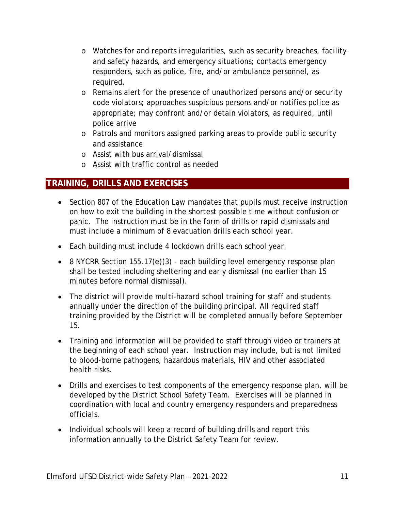- o Watches for and reports irregularities, such as security breaches, facility and safety hazards, and emergency situations; contacts emergency responders, such as police, fire, and/or ambulance personnel, as required.
- o Remains alert for the presence of unauthorized persons and/or security code violators; approaches suspicious persons and/or notifies police as appropriate; may confront and/or detain violators, as required, until police arrive
- o Patrols and monitors assigned parking areas to provide public security and assistance
- o Assist with bus arrival/dismissal
- o Assist with traffic control as needed

#### <span id="page-10-0"></span>**TRAINING, DRILLS AND EXERCISES**

- Section 807 of the Education Law mandates that pupils must receive instruction on how to exit the building in the shortest possible time without confusion or panic. The instruction must be in the form of drills or rapid dismissals and must include a minimum of 8 evacuation drills each school year.
- Each building must include 4 lockdown drills each school year.
- 8 NYCRR Section 155.17(e)(3) each building level emergency response plan shall be tested including sheltering and early dismissal (no earlier than 15 minutes before normal dismissal).
- The district will provide multi-hazard school training for staff and students annually under the direction of the building principal. All required staff training provided by the District will be completed annually before September 15.
- Training and information will be provided to staff through video or trainers at the beginning of each school year. Instruction may include, but is not limited to blood-borne pathogens, hazardous materials, HIV and other associated health risks.
- Drills and exercises to test components of the emergency response plan, will be developed by the District School Safety Team. Exercises will be planned in coordination with local and country emergency responders and preparedness officials.
- Individual schools will keep a record of building drills and report this information annually to the District Safety Team for review.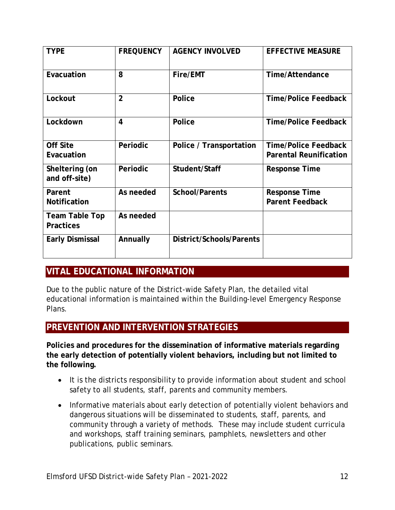| <b>TYPE</b>                               | <b>FREQUENCY</b>        | <b>AGENCY INVOLVED</b>          | <b>EFFECTIVE MEASURE</b>                                     |
|-------------------------------------------|-------------------------|---------------------------------|--------------------------------------------------------------|
| Evacuation                                | 8                       | Fire/EMT                        | <b>Time/Attendance</b>                                       |
| Lockout                                   | $\overline{2}$          | Police                          | <b>Time/Police Feedback</b>                                  |
| Lockdown                                  | $\overline{\mathbf{4}}$ | Police                          | <b>Time/Police Feedback</b>                                  |
| <b>Off Site</b><br>Evacuation             | Periodic                | Police / Transportation         | <b>Time/Police Feedback</b><br><b>Parental Reunification</b> |
| Sheltering (on<br>and off-site)           | Periodic                | Student/Staff                   | <b>Response Time</b>                                         |
| Parent<br><b>Notification</b>             | As needed               | <b>School/Parents</b>           | <b>Response Time</b><br><b>Parent Feedback</b>               |
| <b>Team Table Top</b><br><b>Practices</b> | As needed               |                                 |                                                              |
| <b>Early Dismissal</b>                    | Annually                | <b>District/Schools/Parents</b> |                                                              |

#### <span id="page-11-0"></span>**VITAL EDUCATIONAL INFORMATION**

Due to the public nature of the District-wide Safety Plan, the detailed vital educational information is maintained within the Building-level Emergency Response Plans.

#### <span id="page-11-1"></span>**PREVENTION AND INTERVENTION STRATEGIES**

**Policies and procedures for the dissemination of informative materials regarding the early detection of potentially violent behaviors, including but not limited to the following.**

- It is the districts responsibility to provide information about student and school safety to all students, staff, parents and community members.
- Informative materials about early detection of potentially violent behaviors and dangerous situations will be disseminated to students, staff, parents, and community through a variety of methods. These may include student curricula and workshops, staff training seminars, pamphlets, newsletters and other publications, public seminars.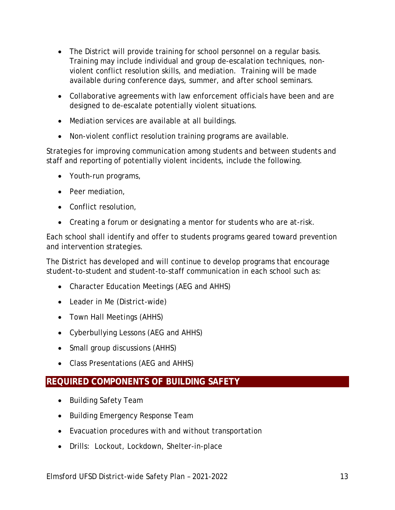- The District will provide training for school personnel on a regular basis. Training may include individual and group de-escalation techniques, nonviolent conflict resolution skills, and mediation. Training will be made available during conference days, summer, and after school seminars.
- Collaborative agreements with law enforcement officials have been and are designed to de-escalate potentially violent situations.
- Mediation services are available at all buildings.
- Non-violent conflict resolution training programs are available.

Strategies for improving communication among students and between students and staff and reporting of potentially violent incidents, include the following.

- Youth-run programs,
- Peer mediation,
- Conflict resolution,
- Creating a forum or designating a mentor for students who are at-risk.

Each school shall identify and offer to students programs geared toward prevention and intervention strategies.

The District has developed and will continue to develop programs that encourage student-to-student and student-to-staff communication in each school such as:

- Character Education Meetings (AEG and AHHS)
- Leader in Me (District-wide)
- Town Hall Meetings (AHHS)
- Cyberbullying Lessons (AEG and AHHS)
- Small group discussions (AHHS)
- Class Presentations (AEG and AHHS)

#### <span id="page-12-0"></span>**REQUIRED COMPONENTS OF BUILDING SAFETY**

- Building Safety Team
- Building Emergency Response Team
- Evacuation procedures with and without transportation
- Drills: Lockout, Lockdown, Shelter-in-place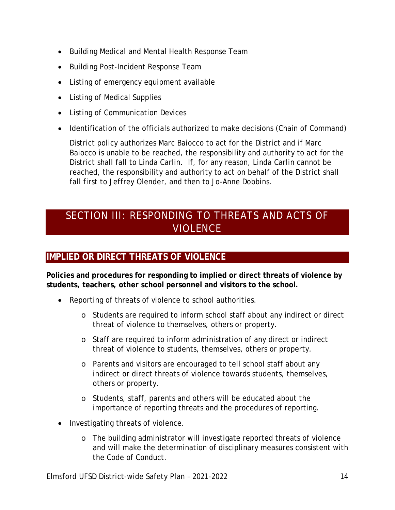- Building Medical and Mental Health Response Team
- Building Post-Incident Response Team
- Listing of emergency equipment available
- Listing of Medical Supplies
- Listing of Communication Devices
- Identification of the officials authorized to make decisions (Chain of Command)

District policy authorizes Marc Baiocco to act for the District and if Marc Baiocco is unable to be reached, the responsibility and authority to act for the District shall fall to Linda Carlin. If, for any reason, Linda Carlin cannot be reached, the responsibility and authority to act on behalf of the District shall fall first to Jeffrey Olender, and then to Jo-Anne Dobbins.

## <span id="page-13-0"></span>SECTION III: RESPONDING TO THREATS AND ACTS OF VIOLENCE

#### <span id="page-13-1"></span>**IMPLIED OR DIRECT THREATS OF VIOLENCE**

**Policies and procedures for responding to implied or direct threats of violence by students, teachers, other school personnel and visitors to the school.**

- Reporting of threats of violence to school authorities.
	- o Students are required to inform school staff about any indirect or direct threat of violence to themselves, others or property.
	- o Staff are required to inform administration of any direct or indirect threat of violence to students, themselves, others or property.
	- o Parents and visitors are encouraged to tell school staff about any indirect or direct threats of violence towards students, themselves, others or property.
	- o Students, staff, parents and others will be educated about the importance of reporting threats and the procedures of reporting.
- Investigating threats of violence.
	- o The building administrator will investigate reported threats of violence and will make the determination of disciplinary measures consistent with the Code of Conduct.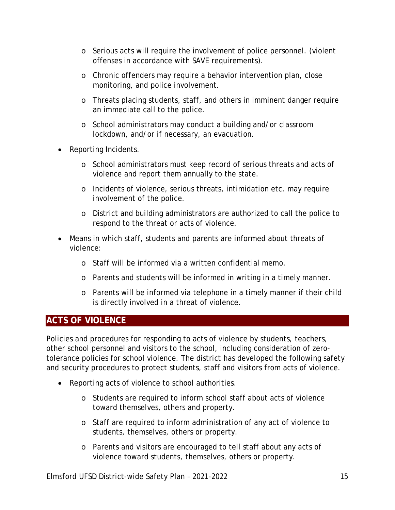- o Serious acts will require the involvement of police personnel. (violent offenses in accordance with SAVE requirements).
- o Chronic offenders may require a behavior intervention plan, close monitoring, and police involvement.
- o Threats placing students, staff, and others in imminent danger require an immediate call to the police.
- o School administrators may conduct a building and/or classroom lockdown, and/or if necessary, an evacuation.
- Reporting Incidents.
	- o School administrators must keep record of serious threats and acts of violence and report them annually to the state.
	- o Incidents of violence, serious threats, intimidation etc. may require involvement of the police.
	- o District and building administrators are authorized to call the police to respond to the threat or acts of violence.
- Means in which staff, students and parents are informed about threats of violence:
	- o Staff will be informed via a written confidential memo.
	- o Parents and students will be informed in writing in a timely manner.
	- o Parents will be informed via telephone in a timely manner if their child is directly involved in a threat of violence.

#### <span id="page-14-0"></span>**ACTS OF VIOLENCE**

Policies and procedures for responding to acts of violence by students, teachers, other school personnel and visitors to the school, including consideration of zerotolerance policies for school violence. The district has developed the following safety and security procedures to protect students, staff and visitors from acts of violence.

- Reporting acts of violence to school authorities.
	- o Students are required to inform school staff about acts of violence toward themselves, others and property.
	- o Staff are required to inform administration of any act of violence to students, themselves, others or property.
	- o Parents and visitors are encouraged to tell staff about any acts of violence toward students, themselves, others or property.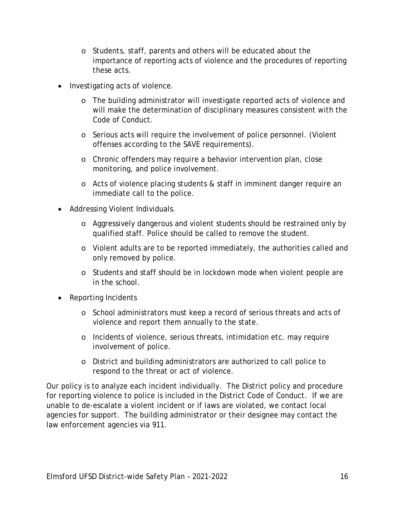- o Students, staff, parents and others will be educated about the importance of reporting acts of violence and the procedures of reporting these acts.
- Investigating acts of violence.
	- o The building administrator will investigate reported acts of violence and will make the determination of disciplinary measures consistent with the Code of Conduct.
	- o Serious acts will require the involvement of police personnel. (Violent offenses according to the SAVE requirements).
	- o Chronic offenders may require a behavior intervention plan, close monitoring, and police involvement.
	- o Acts of violence placing students & staff in imminent danger require an immediate call to the police.
- Addressing Violent Individuals.
	- o Aggressively dangerous and violent students should be restrained only by qualified staff. Police should be called to remove the student.
	- o Violent adults are to be reported immediately, the authorities called and only removed by police.
	- o Students and staff should be in lockdown mode when violent people are in the school.
- Reporting Incidents
	- o School administrators must keep a record of serious threats and acts of violence and report them annually to the state.
	- o Incidents of violence, serious threats, intimidation etc. may require involvement of police.
	- o District and building administrators are authorized to call police to respond to the threat or act of violence.

Our policy is to analyze each incident individually. The District policy and procedure for reporting violence to police is included in the District Code of Conduct. If we are unable to de-escalate a violent incident or if laws are violated, we contact local agencies for support. The building administrator or their designee may contact the law enforcement agencies via 911.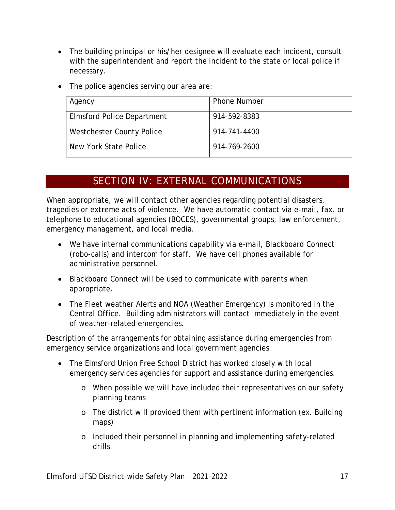- The building principal or his/her designee will evaluate each incident, consult with the superintendent and report the incident to the state or local police if necessary.
- The police agencies serving our area are:

| Agency                            | <b>Phone Number</b> |
|-----------------------------------|---------------------|
| <b>Elmsford Police Department</b> | 914-592-8383        |
| Westchester County Police         | 914-741-4400        |
| New York State Police             | 914-769-2600        |

## SECTION IV: EXTERNAL COMMUNICATIONS

<span id="page-16-0"></span>When appropriate, we will contact other agencies regarding potential disasters, tragedies or extreme acts of violence. We have automatic contact via e-mail, fax, or telephone to educational agencies (BOCES), governmental groups, law enforcement, emergency management, and local media.

- We have internal communications capability via e-mail, Blackboard Connect (robo-calls) and intercom for staff. We have cell phones available for administrative personnel.
- Blackboard Connect will be used to communicate with parents when appropriate.
- The Fleet weather Alerts and NOA (Weather Emergency) is monitored in the Central Office. Building administrators will contact immediately in the event of weather-related emergencies.

Description of the arrangements for obtaining assistance during emergencies from emergency service organizations and local government agencies.

- The Elmsford Union Free School District has worked closely with local emergency services agencies for support and assistance during emergencies.
	- o When possible we will have included their representatives on our safety planning teams
	- o The district will provided them with pertinent information (ex. Building maps)
	- o Included their personnel in planning and implementing safety-related drills.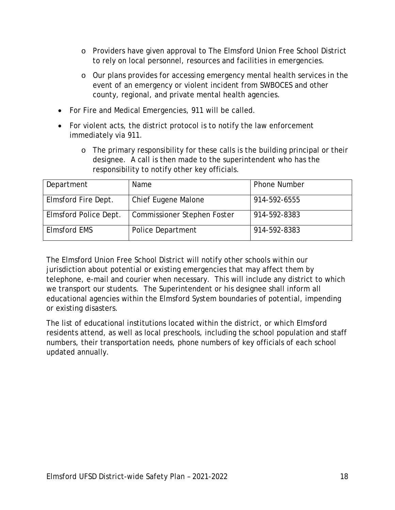- o Providers have given approval to The Elmsford Union Free School District to rely on local personnel, resources and facilities in emergencies.
- o Our plans provides for accessing emergency mental health services in the event of an emergency or violent incident from SWBOCES and other county, regional, and private mental health agencies.
- For Fire and Medical Emergencies, 911 will be called.
- For violent acts, the district protocol is to notify the law enforcement immediately via 911.
	- o The primary responsibility for these calls is the building principal or their designee. A call is then made to the superintendent who has the responsibility to notify other key officials.

| Department            | Name                               | <b>Phone Number</b> |
|-----------------------|------------------------------------|---------------------|
| Elmsford Fire Dept.   | Chief Eugene Malone                | 914-592-6555        |
| Elmsford Police Dept. | <b>Commissioner Stephen Foster</b> | 914-592-8383        |
| <b>Elmsford EMS</b>   | Police Department                  | 914-592-8383        |

The Elmsford Union Free School District will notify other schools within our jurisdiction about potential or existing emergencies that may affect them by telephone, e-mail and courier when necessary. This will include any district to which we transport our students. The Superintendent or his designee shall inform all educational agencies within the Elmsford System boundaries of potential, impending or existing disasters.

The list of educational institutions located within the district, or which Elmsford residents attend, as well as local preschools, including the school population and staff numbers, their transportation needs, phone numbers of key officials of each school updated annually.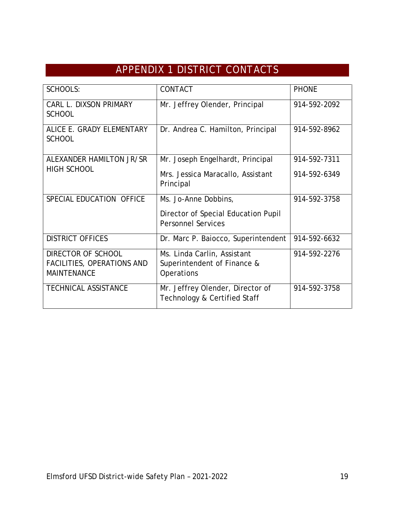# APPENDIX 1 DISTRICT CONTACTS

<span id="page-18-0"></span>

| <b>SCHOOLS:</b>                                  | CONTACT                                                          | <b>PHONE</b> |
|--------------------------------------------------|------------------------------------------------------------------|--------------|
| CARL L. DIXSON PRIMARY<br><b>SCHOOL</b>          | Mr. Jeffrey Olender, Principal                                   | 914-592-2092 |
| ALICE E. GRADY ELEMENTARY<br><b>SCHOOL</b>       | Dr. Andrea C. Hamilton, Principal                                | 914-592-8962 |
| ALEXANDER HAMILTON JR/SR                         | Mr. Joseph Engelhardt, Principal                                 | 914-592-7311 |
| <b>HIGH SCHOOL</b>                               | Mrs. Jessica Maracallo, Assistant<br>Principal                   | 914-592-6349 |
| SPECIAL EDUCATION OFFICE                         | Ms. Jo-Anne Dobbins,                                             | 914-592-3758 |
|                                                  | Director of Special Education Pupil<br><b>Personnel Services</b> |              |
| <b>DISTRICT OFFICES</b>                          | Dr. Marc P. Baiocco, Superintendent                              | 914-592-6632 |
| DIRECTOR OF SCHOOL                               | Ms. Linda Carlin, Assistant                                      | 914-592-2276 |
| FACILITIES, OPERATIONS AND<br><b>MAINTENANCE</b> | Superintendent of Finance &<br>Operations                        |              |
| <b>TECHNICAL ASSISTANCE</b>                      | Mr. Jeffrey Olender, Director of<br>Technology & Certified Staff | 914-592-3758 |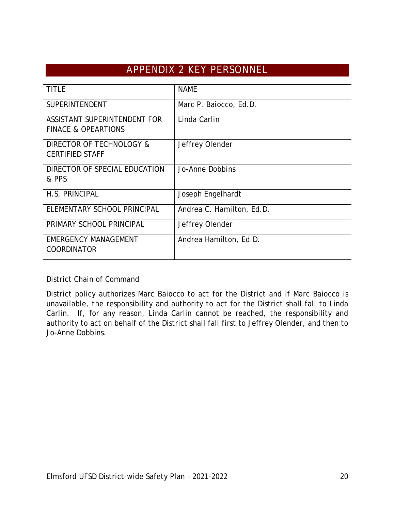## APPENDIX 2 KEY PERSONNEL

<span id="page-19-0"></span>

| <b>TITLE</b>                                                   | <b>NAME</b>               |
|----------------------------------------------------------------|---------------------------|
| <b>SUPERINTENDENT</b>                                          | Marc P. Baiocco, Ed.D.    |
| ASSISTANT SUPERINTENDENT FOR<br><b>FINACE &amp; OPEARTIONS</b> | Linda Carlin              |
| DIRECTOR OF TECHNOLOGY &<br><b>CERTIFIED STAFF</b>             | Jeffrey Olender           |
| DIRECTOR OF SPECIAL EDUCATION<br>& PPS                         | Jo-Anne Dobbins           |
| H.S. PRINCIPAL                                                 | Joseph Engelhardt         |
| ELEMENTARY SCHOOL PRINCIPAL                                    | Andrea C. Hamilton, Ed.D. |
| PRIMARY SCHOOL PRINCIPAL                                       | Jeffrey Olender           |
| <b>EMERGENCY MANAGEMENT</b><br><b>COORDINATOR</b>              | Andrea Hamilton, Ed.D.    |

District Chain of Command

District policy authorizes Marc Baiocco to act for the District and if Marc Baiocco is unavailable, the responsibility and authority to act for the District shall fall to Linda Carlin. If, for any reason, Linda Carlin cannot be reached, the responsibility and authority to act on behalf of the District shall fall first to Jeffrey Olender, and then to Jo-Anne Dobbins.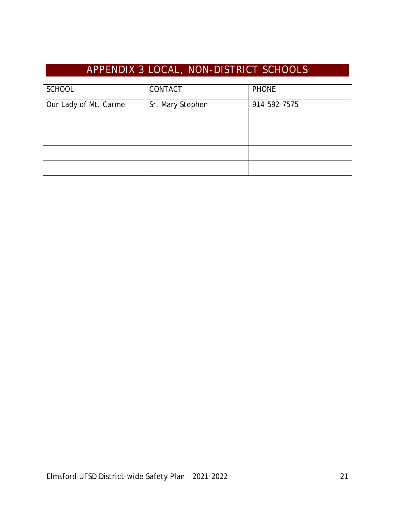# APPENDIX 3 LOCAL, NON-DISTRICT SCHOOLS

<span id="page-20-0"></span>

| <b>SCHOOL</b>          | CONTACT          | <b>PHONE</b> |
|------------------------|------------------|--------------|
| Our Lady of Mt. Carmel | Sr. Mary Stephen | 914-592-7575 |
|                        |                  |              |
|                        |                  |              |
|                        |                  |              |
|                        |                  |              |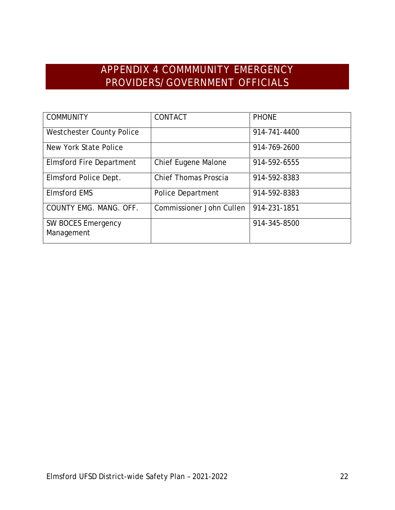## APPENDIX 4 COMMMUNITY EMERGENCY PROVIDERS/GOVERNMENT OFFICIALS

<span id="page-21-0"></span>

| <b>COMMUNITY</b>                 | CONTACT                     | <b>PHONE</b> |
|----------------------------------|-----------------------------|--------------|
|                                  |                             |              |
| <b>Westchester County Police</b> |                             | 914-741-4400 |
|                                  |                             |              |
| New York State Police            |                             | 914-769-2600 |
|                                  |                             |              |
| <b>Elmsford Fire Department</b>  | Chief Eugene Malone         | 914-592-6555 |
|                                  |                             |              |
| Elmsford Police Dept.            | <b>Chief Thomas Proscia</b> | 914-592-8383 |
|                                  |                             |              |
| <b>Elmsford EMS</b>              | Police Department           | 914-592-8383 |
|                                  |                             |              |
| COUNTY EMG. MANG. OFF.           | Commissioner John Cullen    | 914-231-1851 |
|                                  |                             |              |
| SW BOCES Emergency               |                             | 914-345-8500 |
|                                  |                             |              |
| Management                       |                             |              |
|                                  |                             |              |